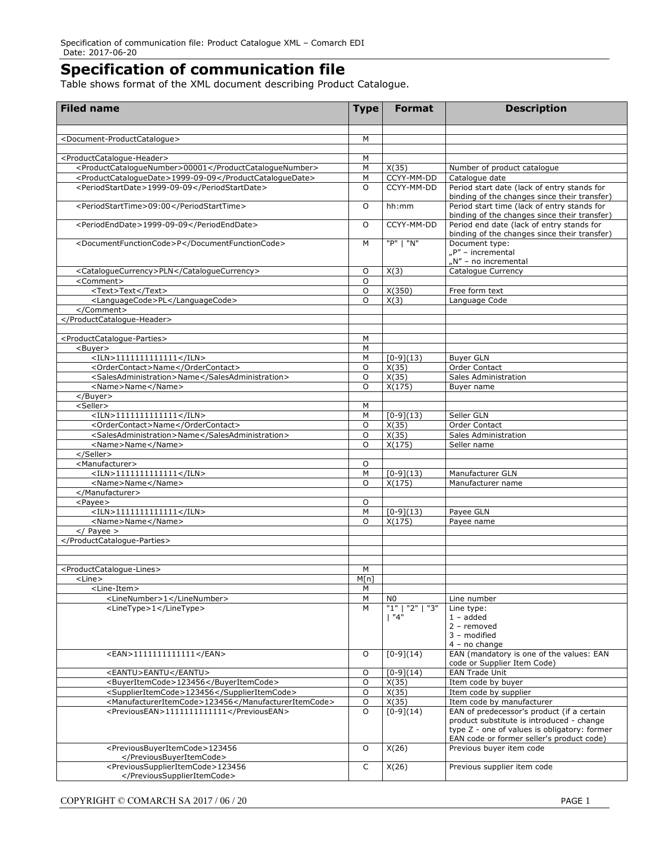## **Specification of communication file**

Table shows format of the XML document describing Product Catalogue.

| <b>Filed name</b>                                               | <b>Type</b> | <b>Format</b>       | <b>Description</b>                                                                                                                     |
|-----------------------------------------------------------------|-------------|---------------------|----------------------------------------------------------------------------------------------------------------------------------------|
| <document-productcataloque></document-productcataloque>         | M           |                     |                                                                                                                                        |
|                                                                 |             |                     |                                                                                                                                        |
| <productcatalogue-header></productcatalogue-header>             | M           |                     |                                                                                                                                        |
| <productcataloguenumber>00001</productcataloguenumber>          | M           | X(35)               | Number of product catalogue                                                                                                            |
| <productcataloguedate>1999-09-09</productcataloguedate>         | М           | CCYY-MM-DD          | Catalogue date                                                                                                                         |
| <periodstartdate>1999-09-09</periodstartdate>                   | $\circ$     | CCYY-MM-DD          | Period start date (lack of entry stands for<br>binding of the changes since their transfer)                                            |
| <periodstarttime>09:00</periodstarttime>                        | O           | hh:mm               | Period start time (lack of entry stands for<br>binding of the changes since their transfer)                                            |
| <periodenddate>1999-09-09</periodenddate>                       | $\circ$     | CCYY-MM-DD          | Period end date (lack of entry stands for<br>binding of the changes since their transfer)                                              |
| <documentfunctioncode>P</documentfunctioncode>                  | M           | "P"   "N"           | Document type:<br>$nP''$ – incremental<br>"N" - no incremental                                                                         |
| <cataloguecurrency>PLN</cataloguecurrency>                      | O           | X(3)                | Catalogue Currency                                                                                                                     |
| <comment></comment>                                             | $\circ$     |                     |                                                                                                                                        |
| <text>Text</text>                                               | $\circ$     | X(350)              | Free form text                                                                                                                         |
| <languagecode>PL</languagecode>                                 | $\Omega$    | X(3)                | Language Code                                                                                                                          |
| <br>                                                            |             |                     |                                                                                                                                        |
|                                                                 |             |                     |                                                                                                                                        |
| <productcatalogue-parties></productcatalogue-parties>           | М           |                     |                                                                                                                                        |
| <buyer></buyer>                                                 | M           |                     |                                                                                                                                        |
| $<$ ILN>11111111111111                                          | M           | $[0-9](13)$         | <b>Buyer GLN</b>                                                                                                                       |
| <ordercontact>Name</ordercontact>                               | $\circ$     | X(35)               | <b>Order Contact</b>                                                                                                                   |
| <salesadministration>Name</salesadministration>                 | O           | X(35)               | Sales Administration                                                                                                                   |
| <name>Name</name>                                               | $\circ$     | X(175)              | Buyer name                                                                                                                             |
| $<$ /Buyer>                                                     |             |                     |                                                                                                                                        |
| <seller></seller>                                               | М           |                     |                                                                                                                                        |
| $<$ ILN>11111111111111                                          | M           | $[0-9](13)$         | Seller GLN                                                                                                                             |
| <ordercontact>Name</ordercontact>                               | O           | X(35)               | Order Contact                                                                                                                          |
| <salesadministration>Name</salesadministration>                 | O           | X(35)               | Sales Administration                                                                                                                   |
| <name>Name</name><br>                                           | $\circ$     | X(175)              | Seller name                                                                                                                            |
| <manufacturer></manufacturer>                                   | O           |                     |                                                                                                                                        |
| $<$ ILN>11111111111111                                          | M           | $[0-9](13)$         | Manufacturer GLN                                                                                                                       |
| <name>Name</name>                                               | $\circ$     | X(175)              | Manufacturer name                                                                                                                      |
|                                                                 |             |                     |                                                                                                                                        |
| $<$ Payee $>$                                                   | O           |                     |                                                                                                                                        |
| $<$ ILN>11111111111111                                          | M           | $[0-9](13)$         | Payee GLN                                                                                                                              |
| <name>Name</name>                                               | $\circ$     | X(175)              | Payee name                                                                                                                             |
| $\sqrt{$ Payee >                                                |             |                     |                                                                                                                                        |
|                                                                 |             |                     |                                                                                                                                        |
|                                                                 |             |                     |                                                                                                                                        |
| <productcatalogue-lines></productcatalogue-lines>               | М           |                     |                                                                                                                                        |
| <line></line>                                                   | M[n]        |                     |                                                                                                                                        |
| <line-item><br/><linenumber>1</linenumber></line-item>          | М<br>М      | N <sub>0</sub>      | Line number                                                                                                                            |
| <linetype>1</linetype>                                          | M           | "1"<br>"2"<br>יי צ" | Line type:                                                                                                                             |
|                                                                 |             | 1"4"                | $1 - added$                                                                                                                            |
|                                                                 |             |                     | $2$ – removed                                                                                                                          |
|                                                                 |             |                     | 3 - modified                                                                                                                           |
|                                                                 |             |                     | $4 - no change$                                                                                                                        |
| <ean>1111111111111</ean>                                        | O           | $[0-9](14)$         | EAN (mandatory is one of the values: EAN<br>code or Supplier Item Code)                                                                |
| <eantu>EANTU</eantu>                                            | O           | $[0-9](14)$         | <b>EAN Trade Unit</b>                                                                                                                  |
| <buyeritemcode>123456</buyeritemcode>                           | O           | X(35)               | Item code by buyer                                                                                                                     |
| <supplieritemcode>123456</supplieritemcode>                     | O           | X(35)               | Item code by supplier                                                                                                                  |
| <manufactureritemcode>123456</manufactureritemcode>             | O           | X(35)               | Item code by manufacturer<br>EAN of predecessor's product (if a certain                                                                |
| <previousean>1111111111111</previousean>                        | O           | $[0-9](14)$         | product substitute is introduced - change<br>type Z - one of values is obligatory: former<br>EAN code or former seller's product code) |
| <previousbuyeritemcode>123456</previousbuyeritemcode>           | $\circ$     | X(26)               | Previous buyer item code                                                                                                               |
| <br><previoussupplieritemcode>123456</previoussupplieritemcode> | C           | X(26)               | Previous supplier item code                                                                                                            |
|                                                                 |             |                     |                                                                                                                                        |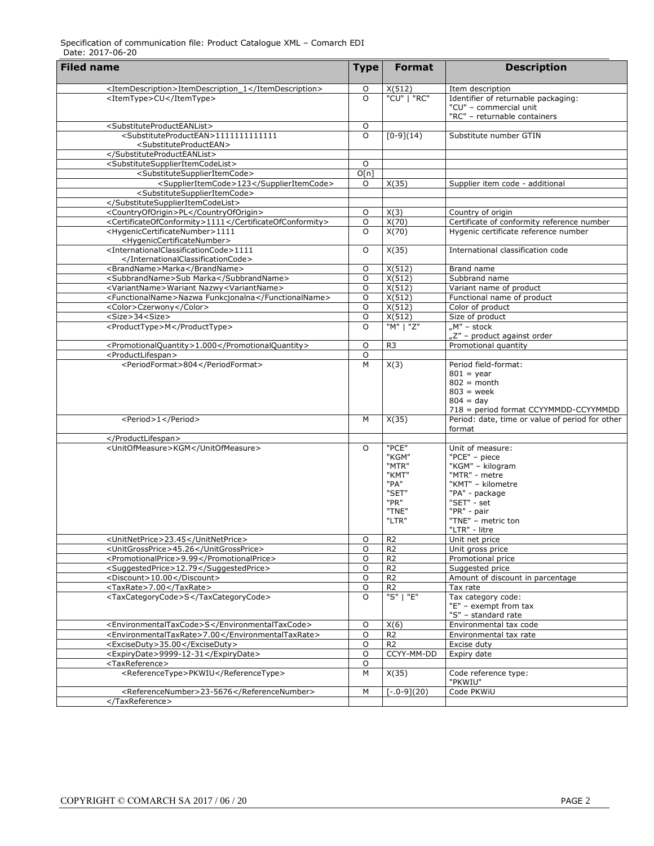| <b>Filed name</b>                                                                       |                |                |                                                 |
|-----------------------------------------------------------------------------------------|----------------|----------------|-------------------------------------------------|
|                                                                                         | <b>Type</b>    | <b>Format</b>  | <b>Description</b>                              |
| <itemdescription>ItemDescription_1</itemdescription>                                    | O              | X(512)         | Item description                                |
| <itemtype>CU</itemtype>                                                                 | $\circ$        | "CU"   "RC"    | Identifier of returnable packaging:             |
|                                                                                         |                |                | "CU" - commercial unit                          |
|                                                                                         |                |                | "RC" - returnable containers                    |
| <substituteproducteanlist></substituteproducteanlist>                                   | $\mathsf O$    |                |                                                 |
| <substituteproductean>1111111111111</substituteproductean>                              | $\circ$        | $[0-9](14)$    | Substitute number GTIN                          |
| <substituteproductean></substituteproductean>                                           |                |                |                                                 |
|                                                                                         |                |                |                                                 |
| <substitutesupplieritemcodelist></substitutesupplieritemcodelist>                       | O              |                |                                                 |
| <substitutesupplieritemcode></substitutesupplieritemcode>                               | O[n]           |                |                                                 |
| <supplieritemcode>123</supplieritemcode>                                                | 0              | X(35)          | Supplier item code - additional                 |
| <substitutesupplieritemcode></substitutesupplieritemcode>                               |                |                |                                                 |
|                                                                                         |                |                |                                                 |
| <countryoforigin>PL</countryoforigin>                                                   | O              | X(3)           | Country of origin                               |
| <certificateofconformity>1111</certificateofconformity>                                 | O              | X(70)          | Certificate of conformity reference number      |
| <hygeniccertificatenumber>1111</hygeniccertificatenumber>                               | $\circ$        | X(70)          | Hygenic certificate reference number            |
| <hygeniccertificatenumber></hygeniccertificatenumber>                                   |                |                |                                                 |
| <internationalclassificationcode>1111</internationalclassificationcode>                 | O              | X(35)          | International classification code               |
|                                                                                         |                |                |                                                 |
| <brandname>Marka</brandname>                                                            | O              | X(512)         | Brand name                                      |
| <subbrandname>Sub Marka</subbrandname>                                                  | O              | X(512)         | Subbrand name                                   |
| <variantname>Wariant Nazwy<variantname></variantname></variantname>                     | O              | X(512)         | Variant name of product                         |
| <functionalname>Nazwa Funkcjonalna</functionalname>                                     | O              | X(512)         | Functional name of product                      |
| <color>Czerwony</color>                                                                 | O              | X(512)         | Color of product                                |
| <size>34<size></size></size>                                                            | O              | X(512)         | Size of product                                 |
| <producttype>M</producttype>                                                            | $\circ$        | "M"   "Z"      | " $M''$ – stock<br>"Z" - product against order  |
|                                                                                         | $\circ$        | R <sub>3</sub> | Promotional quantity                            |
| <promotionalquantity>1.000</promotionalquantity><br><productlifespan></productlifespan> | $\overline{0}$ |                |                                                 |
| <periodformat>804</periodformat>                                                        | M              | X(3)           | Period field-format:                            |
|                                                                                         |                |                | $801 = year$                                    |
|                                                                                         |                |                | $802 = month$                                   |
|                                                                                         |                |                | $803$ = week                                    |
|                                                                                         |                |                | $804 = day$                                     |
|                                                                                         |                |                | 718 = period format CCYYMMDD-CCYYMMDD           |
| <period>1</period>                                                                      | M              | X(35)          | Period: date, time or value of period for other |
|                                                                                         |                |                | format                                          |
|                                                                                         |                |                |                                                 |
| <unitofmeasure>KGM</unitofmeasure>                                                      | $\circ$        | "PCE"          | Unit of measure:                                |
|                                                                                         |                | "KGM"          | "PCE" - piece                                   |
|                                                                                         |                | "MTR"          | "KGM" - kilogram                                |
|                                                                                         |                | "KMT"          | "MTR" - metre                                   |
|                                                                                         |                | "PA"           | "KMT" - kilometre                               |
|                                                                                         |                | "SET"          | "PA" - package                                  |
|                                                                                         |                | "PR"<br>"TNE"  | "SET" - set<br>"PR" - pair                      |
|                                                                                         |                | "LTR"          | "TNE" - metric ton                              |
|                                                                                         |                |                | "LTR" - litre                                   |
| <unitnetprice>23.45</unitnetprice>                                                      | O              | R <sub>2</sub> | Unit net price                                  |
| <unitgrossprice>45.26</unitgrossprice>                                                  | $\overline{0}$ | R <sub>2</sub> | Unit gross price                                |
| <promotionalprice>9.99</promotionalprice>                                               | $\circ$        | R <sub>2</sub> | Promotional price                               |
| <suggestedprice>12.79</suggestedprice>                                                  | $\mathsf O$    | R <sub>2</sub> | Suggested price                                 |
| <discount>10.00</discount>                                                              | O              | R <sub>2</sub> | Amount of discount in parcentage                |
| <taxrate>7.00</taxrate>                                                                 | $\mathsf O$    | R <sub>2</sub> | Tax rate                                        |
| <taxcategorycode>S</taxcategorycode>                                                    | $\circ$        | "S"   "E"      | Tax category code:                              |
|                                                                                         |                |                | "E" - exempt from tax                           |
|                                                                                         |                |                | "S" - standard rate                             |
| <environmentaltaxcode>S</environmentaltaxcode>                                          | O              | X(6)           | Environmental tax code                          |
| <environmentaltaxrate>7.00</environmentaltaxrate>                                       | $\circ$        | R <sub>2</sub> | Environmental tax rate                          |
| <exciseduty>35.00</exciseduty>                                                          | O              | R <sub>2</sub> | Excise duty                                     |
| <expirydate>9999-12-31</expirydate>                                                     | O              | CCYY-MM-DD     | Expiry date                                     |
| <taxreference></taxreference>                                                           | O              |                |                                                 |
| <referencetype>PKWIU</referencetype>                                                    | M              | X(35)          | Code reference type:                            |
|                                                                                         |                |                | "PKWIU"                                         |
| <referencenumber>23-5676</referencenumber>                                              | M              | $[-.0-9](20)$  | Code PKWiU                                      |
|                                                                                         |                |                |                                                 |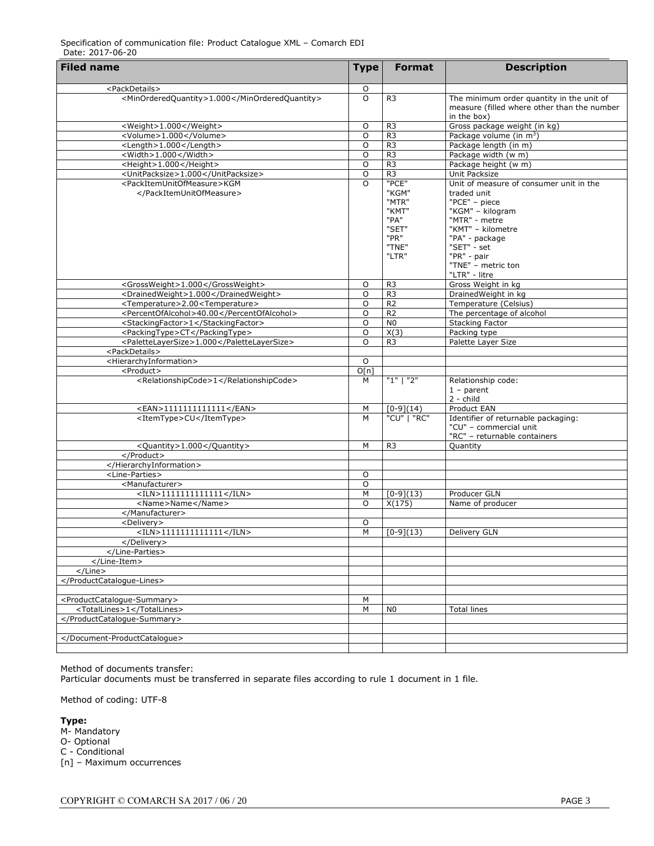| <b>Filed name</b>                                          | <b>Type</b> | <b>Format</b>          | <b>Description</b>                          |
|------------------------------------------------------------|-------------|------------------------|---------------------------------------------|
|                                                            |             |                        |                                             |
| <packdetails></packdetails>                                | O           |                        |                                             |
| <minorderedquantity>1.000</minorderedquantity>             | $\circ$     | R <sub>3</sub>         | The minimum order quantity in the unit of   |
|                                                            |             |                        | measure (filled where other than the number |
|                                                            |             |                        | in the box)                                 |
| <weight>1.000</weight>                                     | O           | R <sub>3</sub>         | Gross package weight (in kg)                |
| <volume>1.000</volume>                                     | O           | R <sub>3</sub>         | Package volume (in m <sup>3</sup> )         |
| <length>1.000</length>                                     | O           | R <sub>3</sub>         | Package length (in m)                       |
| <width>1.000</width>                                       | O           | R <sub>3</sub>         | Package width (w m)                         |
| <height>1.000</height>                                     | O           | R <sub>3</sub>         | Package height (w m)                        |
| <unitpacksize>1.000</unitpacksize>                         | O           | R <sub>3</sub>         | Unit Packsize                               |
| <packitemunitofmeasure>KGM</packitemunitofmeasure>         | $\Omega$    | "PCE"                  | Unit of measure of consumer unit in the     |
|                                                            |             | "KGM"                  | traded unit                                 |
|                                                            |             | "MTR"                  | "PCE" - piece                               |
|                                                            |             | "KMT"                  | "KGM" - kilogram                            |
|                                                            |             | "PA"                   | "MTR" - metre                               |
|                                                            |             | "SET"                  | "KMT" - kilometre                           |
|                                                            |             | "PR"                   | "PA" - package                              |
|                                                            |             | "TNE"                  | "SET" - set                                 |
|                                                            |             | "LTR"                  | "PR" - pair                                 |
|                                                            |             |                        | "TNE" - metric ton                          |
|                                                            |             |                        | "LTR" - litre                               |
| <grossweight>1.000</grossweight>                           | O           | R <sub>3</sub>         | Gross Weight in kg                          |
| <drainedweight>1.000</drainedweight>                       | O           | R <sub>3</sub>         | DrainedWeight in kg                         |
| <temperature>2.00<temperature></temperature></temperature> | $\circ$     | R <sub>2</sub>         | Temperature (Celsius)                       |
| <percentofalcohol>40.00</percentofalcohol>                 | O           | R <sub>2</sub>         | The percentage of alcohol                   |
| <stackingfactor>1</stackingfactor>                         | $\circ$     | N <sub>0</sub>         | <b>Stacking Factor</b>                      |
| <packingtype>CT</packingtype>                              | O           | X(3)                   | Packing type                                |
| <palettelayersize>1.000</palettelayersize>                 | $\circ$     | R <sub>3</sub>         | Palette Layer Size                          |
| <packdetails></packdetails>                                |             |                        |                                             |
| <hierarchyinformation></hierarchyinformation>              | O           |                        |                                             |
| <product></product>                                        | O[n]        |                        |                                             |
| <relationshipcode>1</relationshipcode>                     | M           | "1" 1"2"               | Relationship code:                          |
|                                                            |             |                        | $1$ – parent                                |
|                                                            |             |                        | $2 - child$                                 |
| <ean>1111111111111</ean>                                   | М           | $[0-9](14)$            | Product EAN                                 |
| <itemtype>CU</itemtype>                                    | M           | $\overline{"CU"}$ "RC" | Identifier of returnable packaging:         |
|                                                            |             |                        | "CU" - commercial unit                      |
|                                                            |             |                        | "RC" - returnable containers                |
| <quantity>1.000</quantity>                                 | M           | R <sub>3</sub>         | Quantity                                    |
|                                                            |             |                        |                                             |
|                                                            |             |                        |                                             |
| <line-parties></line-parties>                              | O           |                        |                                             |
| <manufacturer></manufacturer>                              | O           |                        |                                             |
| $<$ ILN>1111111111111                                      | М           |                        | Producer GLN                                |
|                                                            | $\circ$     | $[0-9](13)$            |                                             |
| <name>Name</name>                                          |             | X(175)                 | Name of producer                            |
|                                                            |             |                        |                                             |
| <delivery></delivery>                                      | O           |                        |                                             |
| <iln>1111111111111</iln>                                   | M           | $[0-9](13)$            | Delivery GLN                                |
|                                                            |             |                        |                                             |
|                                                            |             |                        |                                             |
|                                                            |             |                        |                                             |
|                                                            |             |                        |                                             |
|                                                            |             |                        |                                             |
|                                                            |             |                        |                                             |
| <productcatalogue-summary></productcatalogue-summary>      | М           |                        |                                             |
| <totallines>1</totallines>                                 | М           | N <sub>0</sub>         | <b>Total lines</b>                          |
|                                                            |             |                        |                                             |
|                                                            |             |                        |                                             |
|                                                            |             |                        |                                             |
|                                                            |             |                        |                                             |

Method of documents transfer:

Particular documents must be transferred in separate files according to rule 1 document in 1 file.

Method of coding: UTF-8

**Type:**

M- Mandatory O- Optional C - Conditional [n] – Maximum occurrences